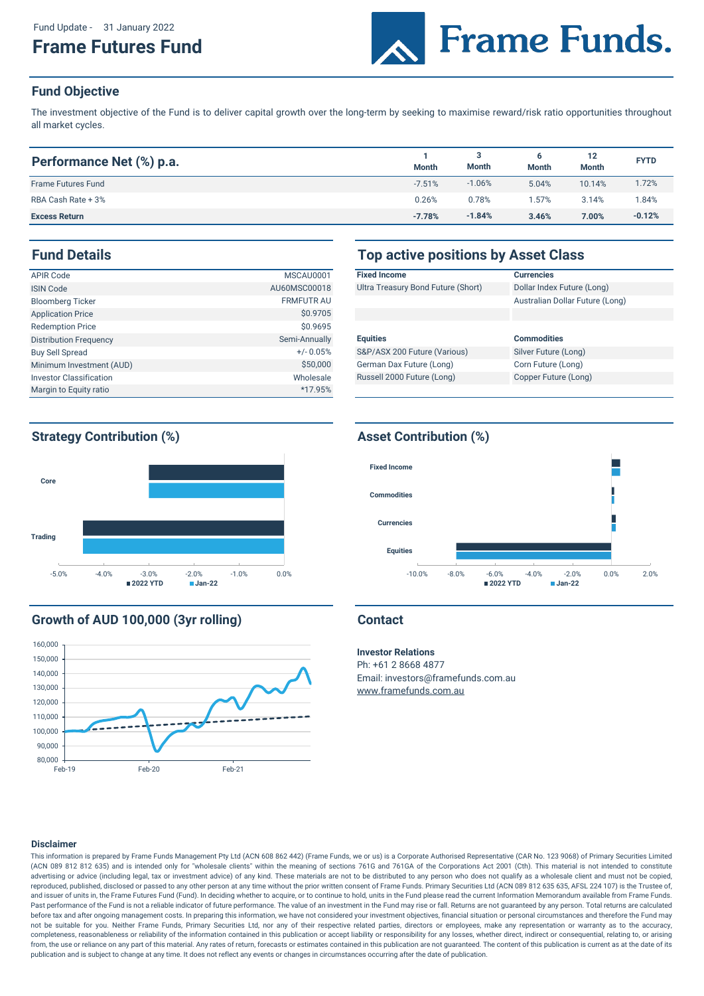Fund Update - 31 January 2022

# **Frame Futures Fund**



## **Fund Objective**

The investment objective of the Fund is to deliver capital growth over the long-term by seeking to maximise reward/risk ratio opportunities throughout all market cycles.

| Performance Net (%) p.a.  | <b>Month</b> | 3<br>Month | <b>Month</b> | 12<br><b>Month</b> | <b>FYTD</b> |
|---------------------------|--------------|------------|--------------|--------------------|-------------|
| <b>Frame Futures Fund</b> | $-7.51%$     | $-1.06%$   | 5.04%        | 10.14%             | 1.72%       |
| RBA Cash Rate + 3%        | 0.26%        | 0.78%      | .57%         | 3.14%              | '.84%       |
| <b>Excess Return</b>      | $-7.78%$     | $-1.84%$   | 3.46%        | 7.00%              | $-0.12%$    |

| <b>APIR Code</b>               | MSCAU0001         | <b>Fixed In</b> |
|--------------------------------|-------------------|-----------------|
| <b>ISIN Code</b>               | AU60MSC00018      | Ultra Tre       |
| <b>Bloomberg Ticker</b>        | <b>FRMFUTR AU</b> |                 |
| <b>Application Price</b>       | \$0.9705          |                 |
| <b>Redemption Price</b>        | \$0.9695          |                 |
| <b>Distribution Frequency</b>  | Semi-Annually     | <b>Equities</b> |
| <b>Buy Sell Spread</b>         | $+/- 0.05%$       | S&P/AS          |
| Minimum Investment (AUD)       | \$50,000          | German          |
| <b>Investor Classification</b> | Wholesale         | Russell         |
| Margin to Equity ratio         | *17.95%           |                 |

## **Fund Details Top active positions by Asset Class**

| <b>Fixed Income</b>                | <b>Currencies</b>               |
|------------------------------------|---------------------------------|
| Ultra Treasury Bond Future (Short) | Dollar Index Future (Long)      |
|                                    | Australian Dollar Future (Long) |
|                                    |                                 |
|                                    |                                 |
| <b>Equities</b>                    | <b>Commodities</b>              |
| S&P/ASX 200 Future (Various)       | Silver Future (Long)            |
| German Dax Future (Long)           | Corn Future (Long)              |
| Russell 2000 Future (Long)         | Copper Future (Long)            |
|                                    |                                 |

## **Strategy Contribution (%) Asset Contribution (%)**



## **Growth of AUD 100,000 (3yr rolling) Contact**





### **Investor Relations**

Ph: +61 2 8668 4877 Email: investors@framefunds.com.au www.framefunds.com.au

### **Disclaimer**

This information is prepared by Frame Funds Management Pty Ltd (ACN 608 862 442) (Frame Funds, we or us) is a Corporate Authorised Representative (CAR No. 123 9068) of Primary Securities Limited (ACN 089 812 812 635) and is intended only for "wholesale clients" within the meaning of sections 761G and 761GA of the Corporations Act 2001 (Cth). This material is not intended to constitute advertising or advice (including legal, tax or investment advice) of any kind. These materials are not to be distributed to any person who does not qualify as a wholesale client and must not be copied, reproduced, published, disclosed or passed to any other person at any time without the prior written consent of Frame Funds. Primary Securities Ltd (ACN 089 812 635 635, AFSL 224 107) is the Trustee of, and issuer of units in, the Frame Futures Fund (Fund). In deciding whether to acquire, or to continue to hold, units in the Fund please read the current Information Memorandum available from Frame Funds. Past performance of the Fund is not a reliable indicator of future performance. The value of an investment in the Fund may rise or fall. Returns are not guaranteed by any person. Total returns are calculated before tax and after ongoing management costs. In preparing this information, we have not considered your investment objectives, financial situation or personal circumstances and therefore the Fund may not be suitable for you. Neither Frame Funds, Primary Securities Ltd, nor any of their respective related parties, directors or employees, make any representation or warranty as to the accuracy, completeness, reasonableness or reliability of the information contained in this publication or accept liability or responsibility for any losses, whether direct, indirect or consequential, relating to, or arising from, the use or reliance on any part of this material. Any rates of return, forecasts or estimates contained in this publication are not guaranteed. The content of this publication is current as at the date of its publication and is subject to change at any time. It does not reflect any events or changes in circumstances occurring after the date of publication.